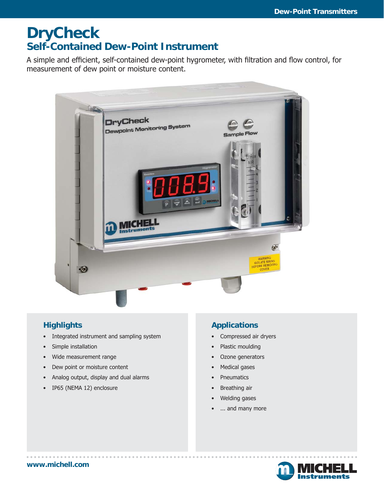# **DryCheck Self-Contained Dew-Point Instrument**

A simple and efficient, self-contained dew-point hygrometer, with filtration and flow control, for measurement of dew point or moisture content.



## **Highlights**

- Integrated instrument and sampling system
- Simple installation
- Wide measurement range
- Dew point or moisture content
- Analog output, display and dual alarms
- IP65 (NEMA 12) enclosure

## **Applications**

- Compressed air dryers
- Plastic moulding
- Ozone generators
- Medical gases
- Pneumatics
- Breathing air
- Welding gases
- ... and many more

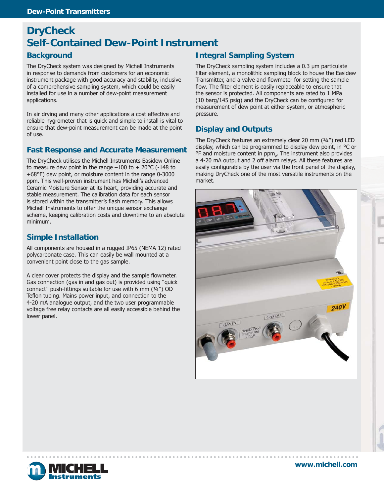# **DryCheck Self-Contained Dew-Point Instrument**

#### **Background**

The DryCheck system was designed by Michell Instruments in response to demands from customers for an economic instrument package with good accuracy and stability, inclusive of a comprehensive sampling system, which could be easily installed for use in a number of dew-point measurement applications.

In air drying and many other applications a cost effective and reliable hygrometer that is quick and simple to install is vital to ensure that dew-point measurement can be made at the point of use.

#### **Fast Response and Accurate Measurement**

The DryCheck utilises the Michell Instruments Easidew Online to measure dew point in the range  $-100$  to  $+20^{\circ}$ C (-148 to +68°F) dew point, or moisture content in the range 0-3000 ppm. This well-proven instrument has Michell's advanced Ceramic Moisture Sensor at its heart, providing accurate and stable measurement. The calibration data for each sensor is stored within the transmitter's flash memory. This allows Michell Instruments to offer the unique sensor exchange scheme, keeping calibration costs and downtime to an absolute minimum.

#### **Simple Installation**

All components are housed in a rugged IP65 (NEMA 12) rated polycarbonate case. This can easily be wall mounted at a convenient point close to the gas sample.

A clear cover protects the display and the sample flowmeter. Gas connection (gas in and gas out) is provided using "quick connect" push-fittings suitable for use with 6 mm ( $\frac{1}{4}$ ") OD Teflon tubing. Mains power input, and connection to the 4-20 mA analogue output, and the two user programmable voltage free relay contacts are all easily accessible behind the lower panel.

## **Integral Sampling System**

The DryCheck sampling system includes a 0.3 μm particulate filter element, a monolithic sampling block to house the Easidew Transmitter, and a valve and flowmeter for setting the sample flow. The filter element is easily replaceable to ensure that the sensor is protected. All components are rated to 1 MPa (10 barg/145 psig) and the DryCheck can be configured for measurement of dew point at either system, or atmospheric pressure.

#### **Display and Outputs**

The DryCheck features an extremely clear 20 mm (¾") red LED display, which can be programmed to display dew point, in °C or  $\textdegree$ F and moisture content in ppm<sub>v</sub>. The instrument also provides a 4-20 mA output and 2 off alarm relays. All these features are easily configurable by the user via the front panel of the display, making DryCheck one of the most versatile instruments on the market.





**www.michell.com**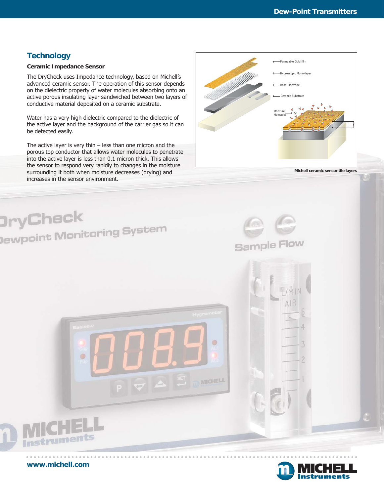## **Technology**

#### **Ceramic Impedance Sensor**

The DryCheck uses Impedance technology, based on Michell's advanced ceramic sensor. The operation of this sensor depends on the dielectric property of water molecules absorbing onto an active porous insulating layer sandwiched between two layers of conductive material deposited on a ceramic substrate.

Water has a very high dielectric compared to the dielectric of the active layer and the background of the carrier gas so it can be detected easily.

The active layer is very thin – less than one micron and the porous top conductor that allows water molecules to penetrate into the active layer is less than 0.1 micron thick. This allows the sensor to respond very rapidly to changes in the moisture surrounding it both when moisture decreases (drying) and increases in the sensor environment.



**Michell ceramic sensor tile layers**